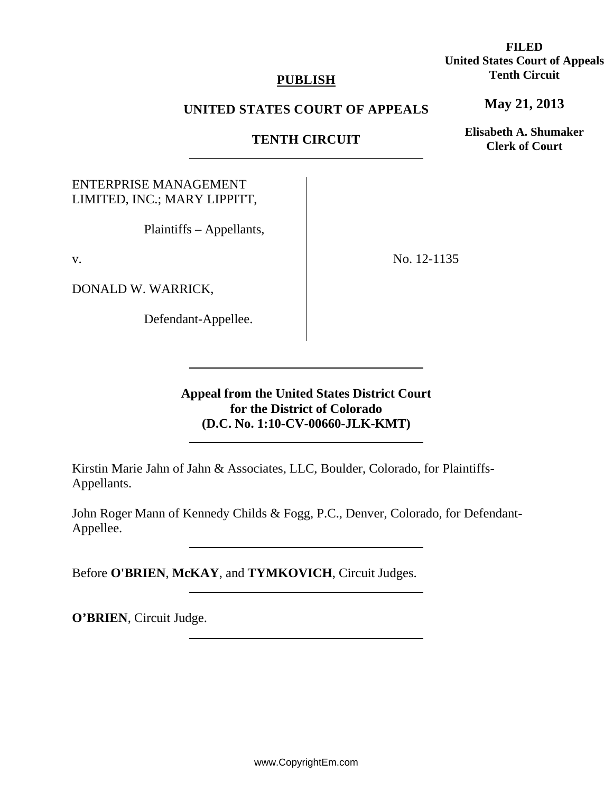### **PUBLISH**

### **UNITED STATES COURT OF APPEALS**

## **TENTH CIRCUIT**

## ENTERPRISE MANAGEMENT LIMITED, INC.; MARY LIPPITT,

Plaintiffs – Appellants,

v.

DONALD W. WARRICK,

Defendant-Appellee.

No. 12-1135

**Appeal from the United States District Court for the District of Colorado (D.C. No. 1:10-CV-00660-JLK-KMT)** 

Kirstin Marie Jahn of Jahn & Associates, LLC, Boulder, Colorado, for Plaintiffs-Appellants.

John Roger Mann of Kennedy Childs & Fogg, P.C., Denver, Colorado, for Defendant-Appellee.

Before **O'BRIEN**, **McKAY**, and **TYMKOVICH**, Circuit Judges.

**O'BRIEN**, Circuit Judge.

**FILED United States Court of Appeals Tenth Circuit** 

**May 21, 2013**

**Elisabeth A. Shumaker Clerk of Court**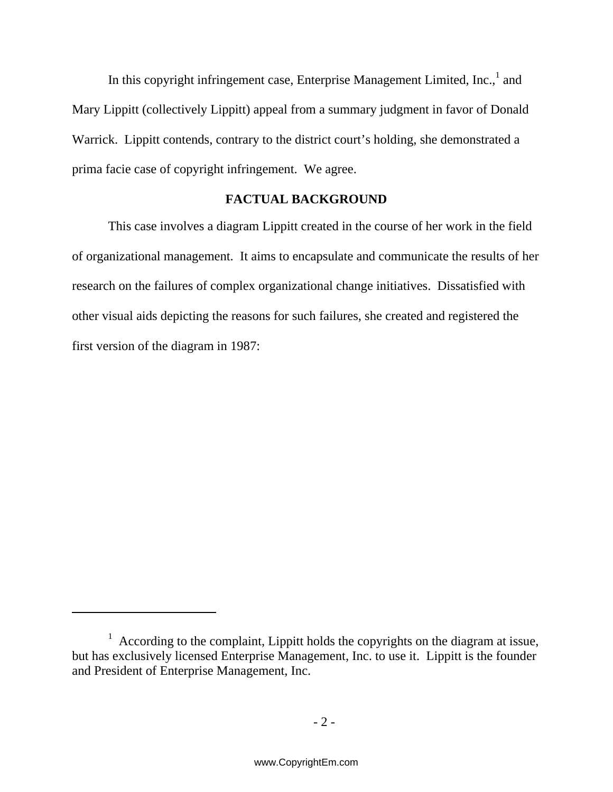In this copyright infringement case, Enterprise Management Limited, Inc., $<sup>1</sup>$  and</sup> Mary Lippitt (collectively Lippitt) appeal from a summary judgment in favor of Donald Warrick. Lippitt contends, contrary to the district court's holding, she demonstrated a prima facie case of copyright infringement. We agree.

## **FACTUAL BACKGROUND**

This case involves a diagram Lippitt created in the course of her work in the field of organizational management. It aims to encapsulate and communicate the results of her research on the failures of complex organizational change initiatives.Dissatisfied with other visual aids depicting the reasons for such failures, she created and registered the first version of the diagram in 1987:

 $1$  According to the complaint, Lippitt holds the copyrights on the diagram at issue, but has exclusively licensed Enterprise Management, Inc. to use it. Lippitt is the founder and President of Enterprise Management, Inc.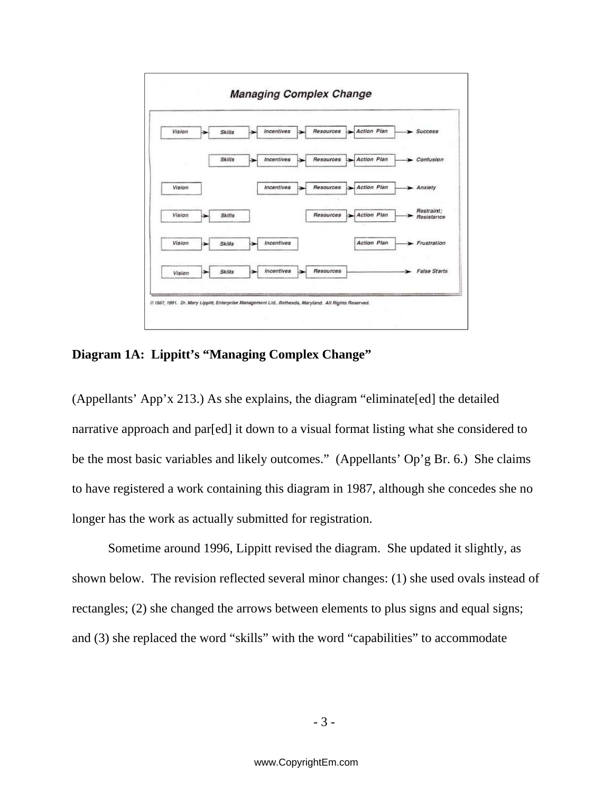

**Diagram 1A: Lippitt's "Managing Complex Change"** 

(Appellants' App'x 213.) As she explains, the diagram "eliminate[ed] the detailed narrative approach and par[ed] it down to a visual format listing what she considered to be the most basic variables and likely outcomes." (Appellants' Op'g Br. 6.) She claims to have registered a work containing this diagram in 1987, although she concedes she no longer has the work as actually submitted for registration.

Sometime around 1996, Lippitt revised the diagram. She updated it slightly, as shown below. The revision reflected several minor changes: (1) she used ovals instead of rectangles; (2) she changed the arrows between elements to plus signs and equal signs; and (3) she replaced the word "skills" with the word "capabilities" to accommodate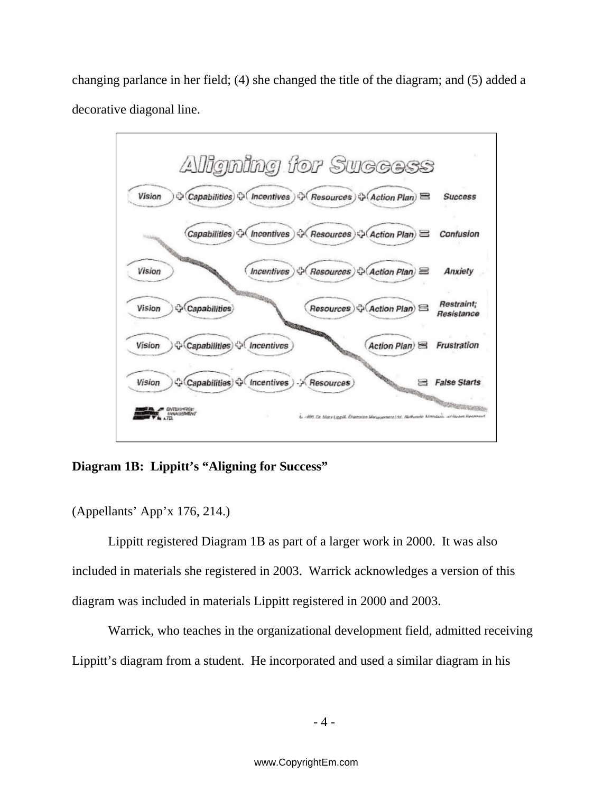changing parlance in her field; (4) she changed the title of the diagram; and (5) added a decorative diagonal line.



# **Diagram 1B: Lippitt's "Aligning for Success"**

(Appellants' App'x 176, 214.)

Lippitt registered Diagram 1B as part of a larger work in 2000. It was also included in materials she registered in 2003. Warrick acknowledges a version of this diagram was included in materials Lippitt registered in 2000 and 2003.

Warrick, who teaches in the organizational development field, admitted receiving Lippitt's diagram from a student. He incorporated and used a similar diagram in his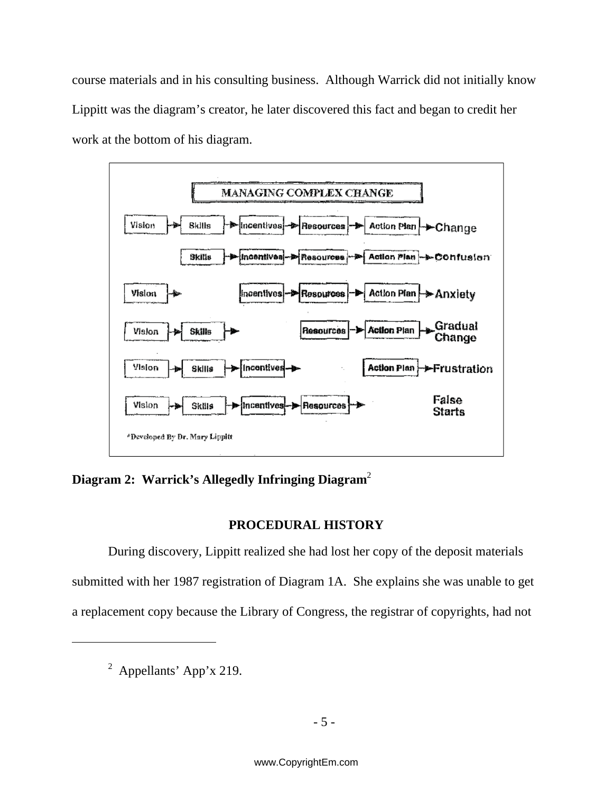course materials and in his consulting business. Although Warrick did not initially know Lippitt was the diagram's creator, he later discovered this fact and began to credit her work at the bottom of his diagram.



**Diagram 2: Warrick's Allegedly Infringing Diagram**<sup>2</sup>

# **PROCEDURAL HISTORY**

During discovery, Lippitt realized she had lost her copy of the deposit materials submitted with her 1987 registration of Diagram 1A. She explains she was unable to get a replacement copy because the Library of Congress, the registrar of copyrights, had not

<sup>&</sup>lt;sup>2</sup> Appellants' App'x 219.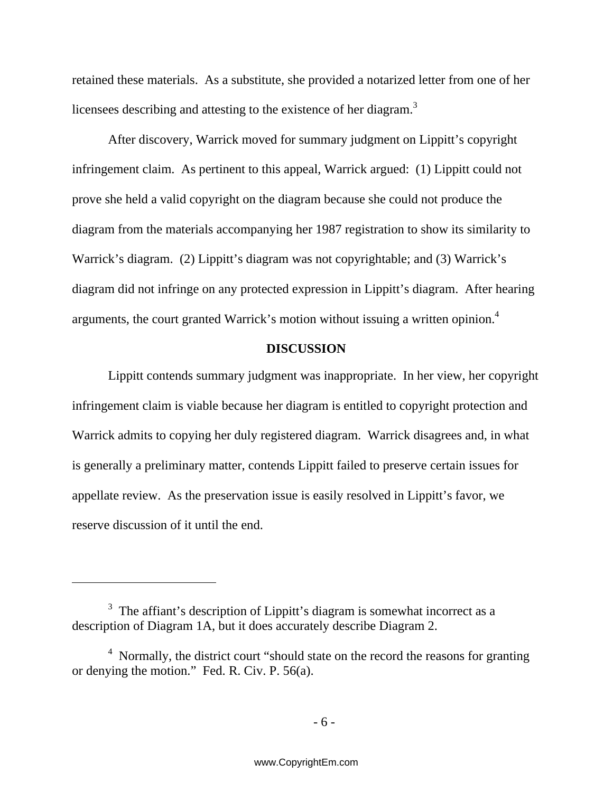retained these materials.As a substitute, she provided a notarized letter from one of her licensees describing and attesting to the existence of her diagram.<sup>3</sup>

After discovery, Warrick moved for summary judgment on Lippitt's copyright infringement claim. As pertinent to this appeal, Warrick argued: (1) Lippitt could not prove she held a valid copyright on the diagram because she could not produce the diagram from the materials accompanying her 1987 registration to show its similarity to Warrick's diagram. (2) Lippitt's diagram was not copyrightable; and (3) Warrick's diagram did not infringe on any protected expression in Lippitt's diagram. After hearing arguments, the court granted Warrick's motion without issuing a written opinion.4

### **DISCUSSION**

Lippitt contends summary judgment was inappropriate. In her view, her copyright infringement claim is viable because her diagram is entitled to copyright protection and Warrick admits to copying her duly registered diagram. Warrick disagrees and, in what is generally a preliminary matter, contends Lippitt failed to preserve certain issues for appellate review. As the preservation issue is easily resolved in Lippitt's favor, we reserve discussion of it until the end.

 $3$  The affiant's description of Lippitt's diagram is somewhat incorrect as a description of Diagram 1A, but it does accurately describe Diagram 2.

<sup>&</sup>lt;sup>4</sup> Normally, the district court "should state on the record the reasons for granting or denying the motion." Fed. R. Civ. P. 56(a).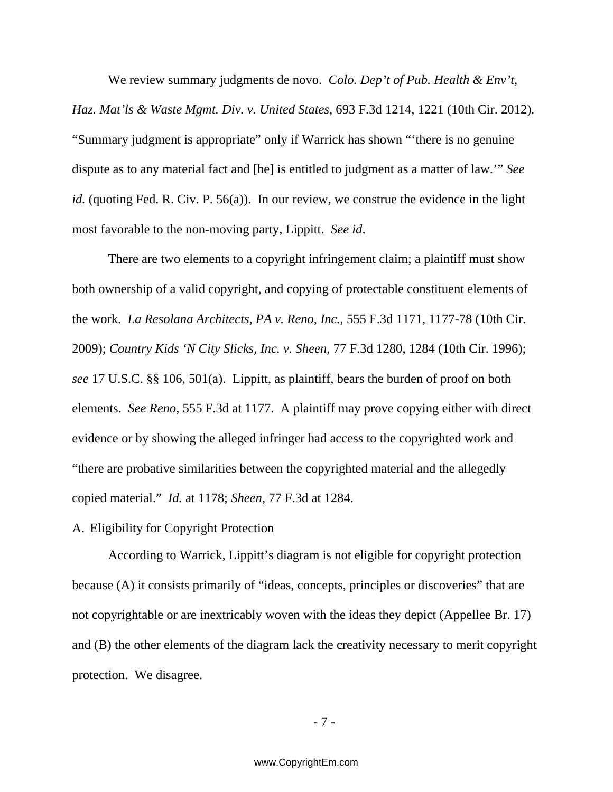We review summary judgments de novo. *Colo. Dep't of Pub. Health & Env't, Haz. Mat'ls & Waste Mgmt. Div. v. United States*, 693 F.3d 1214, 1221 (10th Cir. 2012)*.*  "Summary judgment is appropriate" only if Warrick has shown "'there is no genuine dispute as to any material fact and [he] is entitled to judgment as a matter of law.'" *See id.* (quoting Fed. R. Civ. P. 56(a)). In our review, we construe the evidence in the light most favorable to the non-moving party, Lippitt. *See id*.

There are two elements to a copyright infringement claim; a plaintiff must show both ownership of a valid copyright, and copying of protectable constituent elements of the work. *La Resolana Architects, PA v. Reno, Inc.*, 555 F.3d 1171, 1177-78 (10th Cir. 2009); *Country Kids 'N City Slicks, Inc. v. Sheen*, 77 F.3d 1280, 1284 (10th Cir. 1996); *see* 17 U.S.C. §§ 106, 501(a). Lippitt, as plaintiff, bears the burden of proof on both elements. *See Reno*, 555 F.3d at 1177. A plaintiff may prove copying either with direct evidence or by showing the alleged infringer had access to the copyrighted work and "there are probative similarities between the copyrighted material and the allegedly copied material." *Id.* at 1178; *Sheen*, 77 F.3d at 1284.

### A. Eligibility for Copyright Protection

According to Warrick, Lippitt's diagram is not eligible for copyright protection because (A) it consists primarily of "ideas, concepts, principles or discoveries" that are not copyrightable or are inextricably woven with the ideas they depict (Appellee Br. 17) and (B) the other elements of the diagram lack the creativity necessary to merit copyright protection. We disagree.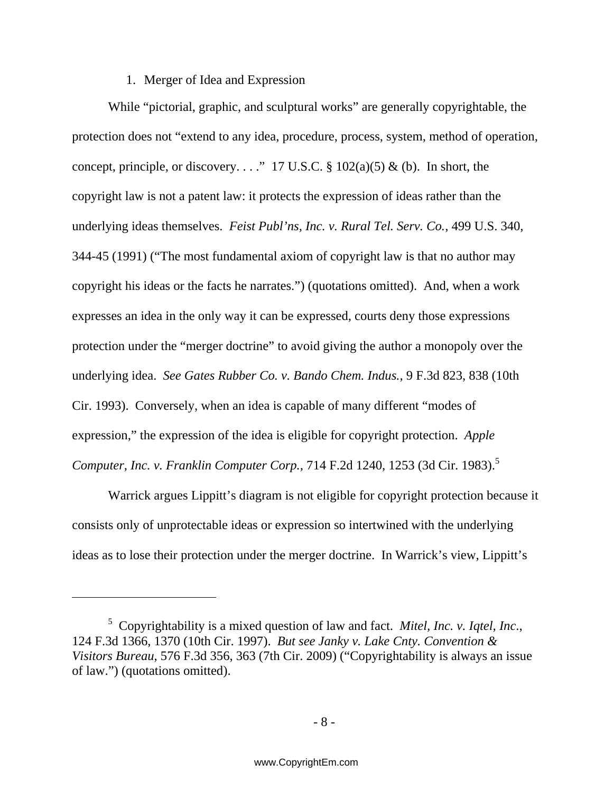### 1. Merger of Idea and Expression

While "pictorial, graphic, and sculptural works" are generally copyrightable, the protection does not "extend to any idea, procedure, process, system, method of operation, concept, principle, or discovery. . . ." 17 U.S.C.  $\S 102(a)(5) \& (b)$ . In short, the copyright law is not a patent law: it protects the expression of ideas rather than the underlying ideas themselves. *Feist Publ'ns, Inc. v. Rural Tel. Serv. Co.*, 499 U.S. 340, 344-45 (1991) ("The most fundamental axiom of copyright law is that no author may copyright his ideas or the facts he narrates.") (quotations omitted). And, when a work expresses an idea in the only way it can be expressed, courts deny those expressions protection under the "merger doctrine" to avoid giving the author a monopoly over the underlying idea. *See Gates Rubber Co. v. Bando Chem. Indus.*, 9 F.3d 823, 838 (10th Cir. 1993). Conversely, when an idea is capable of many different "modes of expression," the expression of the idea is eligible for copyright protection. *Apple Computer, Inc. v. Franklin Computer Corp.,* 714 F.2d 1240, 1253 (3d Cir. 1983).<sup>5</sup>

Warrick argues Lippitt's diagram is not eligible for copyright protection because it consists only of unprotectable ideas or expression so intertwined with the underlying ideas as to lose their protection under the merger doctrine. In Warrick's view, Lippitt's

<sup>5</sup> Copyrightability is a mixed question of law and fact. *Mitel, Inc. v. Iqtel, Inc*., 124 F.3d 1366, 1370 (10th Cir. 1997). *But see Janky v. Lake Cnty. Convention & Visitors Bureau*, 576 F.3d 356, 363 (7th Cir. 2009) ("Copyrightability is always an issue of law.") (quotations omitted).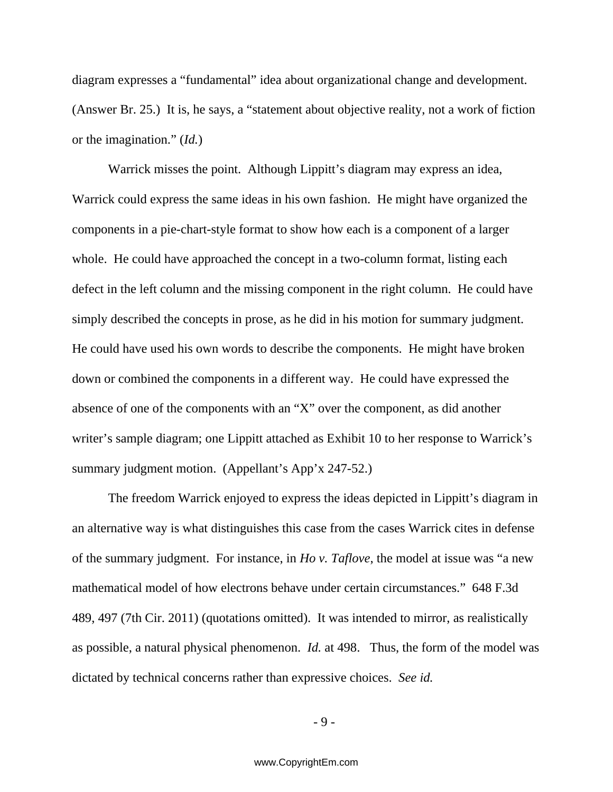diagram expresses a "fundamental" idea about organizational change and development. (Answer Br. 25.) It is, he says, a "statement about objective reality, not a work of fiction or the imagination." (*Id.*)

Warrick misses the point. Although Lippitt's diagram may express an idea, Warrick could express the same ideas in his own fashion. He might have organized the components in a pie-chart-style format to show how each is a component of a larger whole. He could have approached the concept in a two-column format, listing each defect in the left column and the missing component in the right column. He could have simply described the concepts in prose, as he did in his motion for summary judgment. He could have used his own words to describe the components. He might have broken down or combined the components in a different way. He could have expressed the absence of one of the components with an "X" over the component, as did another writer's sample diagram; one Lippitt attached as Exhibit 10 to her response to Warrick's summary judgment motion. (Appellant's App'x 247-52.)

The freedom Warrick enjoyed to express the ideas depicted in Lippitt's diagram in an alternative way is what distinguishes this case from the cases Warrick cites in defense of the summary judgment. For instance, in *Ho v. Taflove*, the model at issue was "a new mathematical model of how electrons behave under certain circumstances." 648 F.3d 489, 497 (7th Cir. 2011) (quotations omitted). It was intended to mirror, as realistically as possible, a natural physical phenomenon. *Id.* at 498. Thus, the form of the model was dictated by technical concerns rather than expressive choices. *See id.* 

- 9 -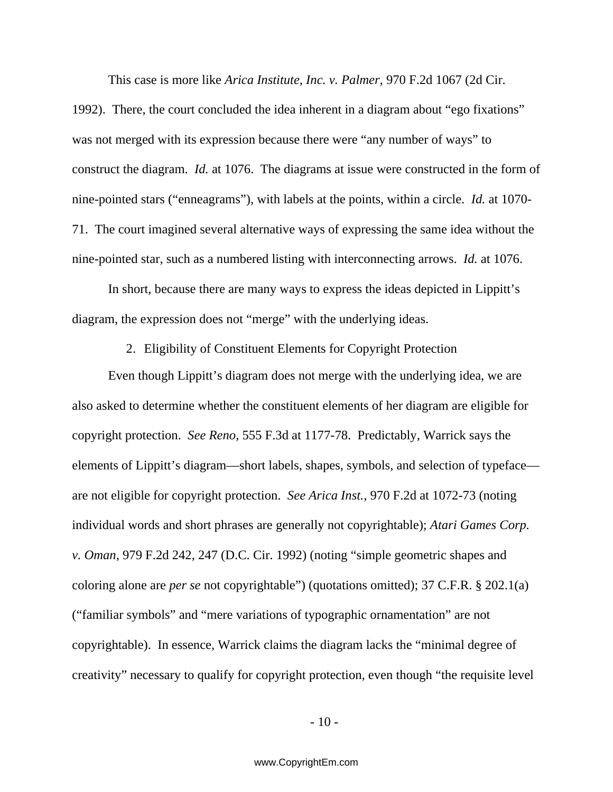This case is more like *Arica Institute, Inc. v. Palmer,* 970 F.2d 1067 (2d Cir.

1992). There, the court concluded the idea inherent in a diagram about "ego fixations" was not merged with its expression because there were "any number of ways" to construct the diagram. *Id.* at 1076. The diagrams at issue were constructed in the form of nine-pointed stars ("enneagrams"), with labels at the points, within a circle. *Id.* at 1070- 71. The court imagined several alternative ways of expressing the same idea without the nine-pointed star, such as a numbered listing with interconnecting arrows. *Id.* at 1076.

In short, because there are many ways to express the ideas depicted in Lippitt's diagram, the expression does not "merge" with the underlying ideas.

2. Eligibility of Constituent Elements for Copyright Protection

Even though Lippitt's diagram does not merge with the underlying idea, we are also asked to determine whether the constituent elements of her diagram are eligible for copyright protection. *See Reno*, 555 F.3d at 1177-78. Predictably, Warrick says the elements of Lippitt's diagram—short labels, shapes, symbols, and selection of typeface are not eligible for copyright protection. *See Arica Inst.*, 970 F.2d at 1072-73 (noting individual words and short phrases are generally not copyrightable); *Atari Games Corp. v. Oman*, 979 F.2d 242, 247 (D.C. Cir. 1992) (noting "simple geometric shapes and coloring alone are *per se* not copyrightable") (quotations omitted); 37 C.F.R. § 202.1(a) ("familiar symbols" and "mere variations of typographic ornamentation" are not copyrightable). In essence, Warrick claims the diagram lacks the "minimal degree of creativity" necessary to qualify for copyright protection, even though "the requisite level

 $-10-$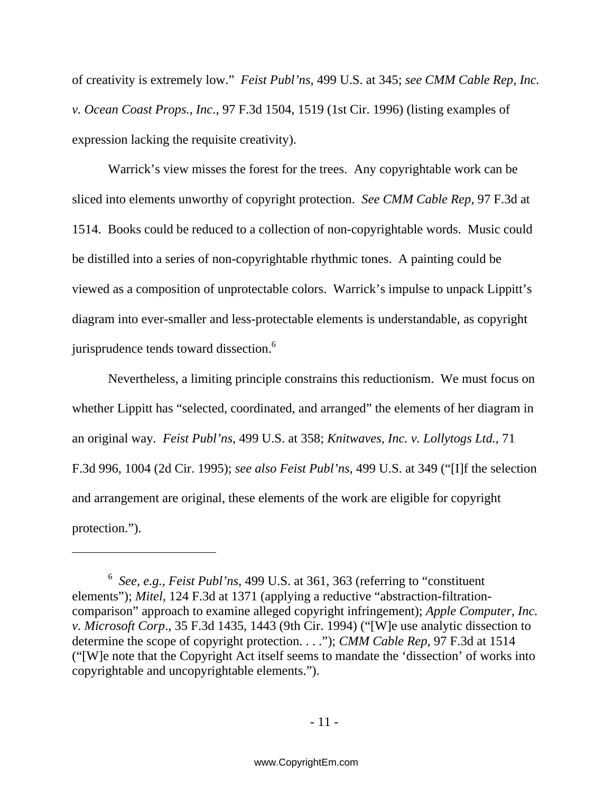of creativity is extremely low." *Feist Publ'ns*, 499 U.S. at 345; *see CMM Cable Rep, Inc. v. Ocean Coast Props., Inc*., 97 F.3d 1504, 1519 (1st Cir. 1996) (listing examples of expression lacking the requisite creativity).

Warrick's view misses the forest for the trees. Any copyrightable work can be sliced into elements unworthy of copyright protection. *See CMM Cable Rep,* 97 F.3d at 1514. Books could be reduced to a collection of non-copyrightable words. Music could be distilled into a series of non-copyrightable rhythmic tones. A painting could be viewed as a composition of unprotectable colors. Warrick's impulse to unpack Lippitt's diagram into ever-smaller and less-protectable elements is understandable, as copyright jurisprudence tends toward dissection.<sup>6</sup>

Nevertheless, a limiting principle constrains this reductionism. We must focus on whether Lippitt has "selected, coordinated, and arranged" the elements of her diagram in an original way. *Feist Publ'ns*, 499 U.S. at 358; *Knitwaves, Inc. v. Lollytogs Ltd.*, 71 F.3d 996, 1004 (2d Cir. 1995); *see also Feist Publ'ns*, 499 U.S. at 349 ("[I]f the selection and arrangement are original, these elements of the work are eligible for copyright protection.").

<sup>6</sup> *See, e.g., Feist Publ'ns*, 499 U.S. at 361, 363 (referring to "constituent elements"); *Mitel,* 124 F.3d at 1371 (applying a reductive "abstraction-filtrationcomparison" approach to examine alleged copyright infringement); *Apple Computer, Inc. v. Microsoft Corp*., 35 F.3d 1435, 1443 (9th Cir. 1994) ("[W]e use analytic dissection to determine the scope of copyright protection. . . ."); *CMM Cable Rep,* 97 F.3d at 1514 ("[W]e note that the Copyright Act itself seems to mandate the 'dissection' of works into copyrightable and uncopyrightable elements.").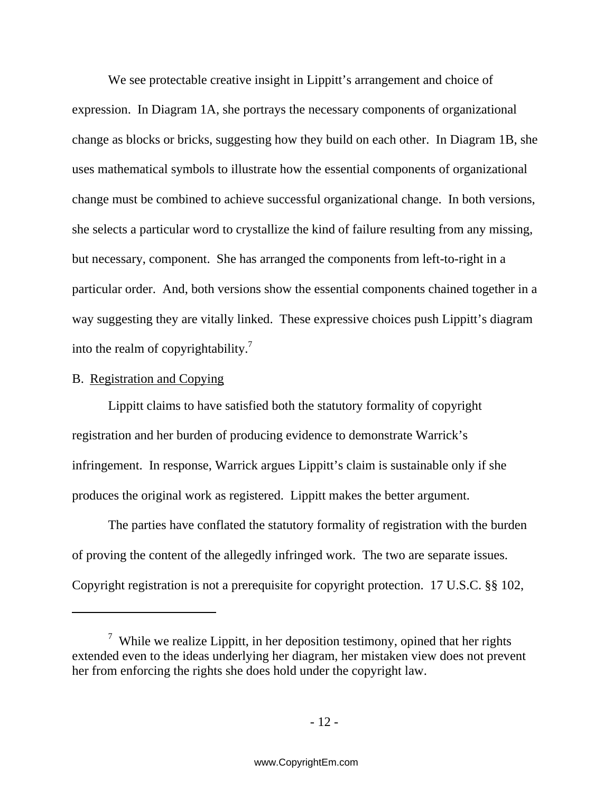We see protectable creative insight in Lippitt's arrangement and choice of expression. In Diagram 1A, she portrays the necessary components of organizational change as blocks or bricks, suggesting how they build on each other. In Diagram 1B, she uses mathematical symbols to illustrate how the essential components of organizational change must be combined to achieve successful organizational change. In both versions, she selects a particular word to crystallize the kind of failure resulting from any missing, but necessary, component. She has arranged the components from left-to-right in a particular order. And, both versions show the essential components chained together in a way suggesting they are vitally linked. These expressive choices push Lippitt's diagram into the realm of copyrightability.<sup>7</sup>

### B. Registration and Copying

Lippitt claims to have satisfied both the statutory formality of copyright registration and her burden of producing evidence to demonstrate Warrick's infringement. In response, Warrick argues Lippitt's claim is sustainable only if she produces the original work as registered. Lippitt makes the better argument.

The parties have conflated the statutory formality of registration with the burden of proving the content of the allegedly infringed work. The two are separate issues. Copyright registration is not a prerequisite for copyright protection. 17 U.S.C. §§ 102,

<sup>&</sup>lt;sup>7</sup> While we realize Lippitt, in her deposition testimony, opined that her rights extended even to the ideas underlying her diagram, her mistaken view does not prevent her from enforcing the rights she does hold under the copyright law.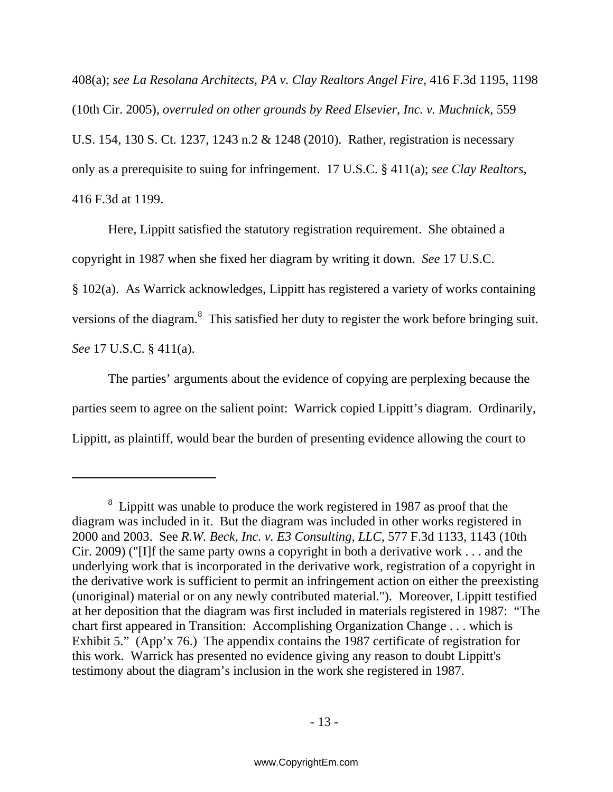408(a); *see La Resolana Architects, PA v. Clay Realtors Angel Fire*, 416 F.3d 1195, 1198 (10th Cir. 2005), *overruled on other grounds by Reed Elsevier, Inc. v. Muchnick,* 559 U.S. 154, 130 S. Ct. 1237, 1243 n.2 & 1248 (2010). Rather, registration is necessary only as a prerequisite to suing for infringement. 17 U.S.C. § 411(a); *see Clay Realtors*, 416 F.3d at 1199.

Here, Lippitt satisfied the statutory registration requirement. She obtained a copyright in 1987 when she fixed her diagram by writing it down. *See* 17 U.S.C. § 102(a). As Warrick acknowledges, Lippitt has registered a variety of works containing versions of the diagram.<sup>8</sup> This satisfied her duty to register the work before bringing suit. *See* 17 U.S.C. § 411(a).

The parties' arguments about the evidence of copying are perplexing because the parties seem to agree on the salient point: Warrick copied Lippitt's diagram. Ordinarily, Lippitt, as plaintiff, would bear the burden of presenting evidence allowing the court to

 $8\,$  Lippitt was unable to produce the work registered in 1987 as proof that the diagram was included in it. But the diagram was included in other works registered in 2000 and 2003. See *R.W. Beck, Inc. v. E3 Consulting, LLC*, 577 F.3d 1133, 1143 (10th Cir. 2009) ("[I]f the same party owns a copyright in both a derivative work . . . and the underlying work that is incorporated in the derivative work, registration of a copyright in the derivative work is sufficient to permit an infringement action on either the preexisting (unoriginal) material or on any newly contributed material."). Moreover, Lippitt testified at her deposition that the diagram was first included in materials registered in 1987: "The chart first appeared in Transition: Accomplishing Organization Change . . . which is Exhibit 5." (App'x 76.) The appendix contains the 1987 certificate of registration for this work. Warrick has presented no evidence giving any reason to doubt Lippitt's testimony about the diagram's inclusion in the work she registered in 1987.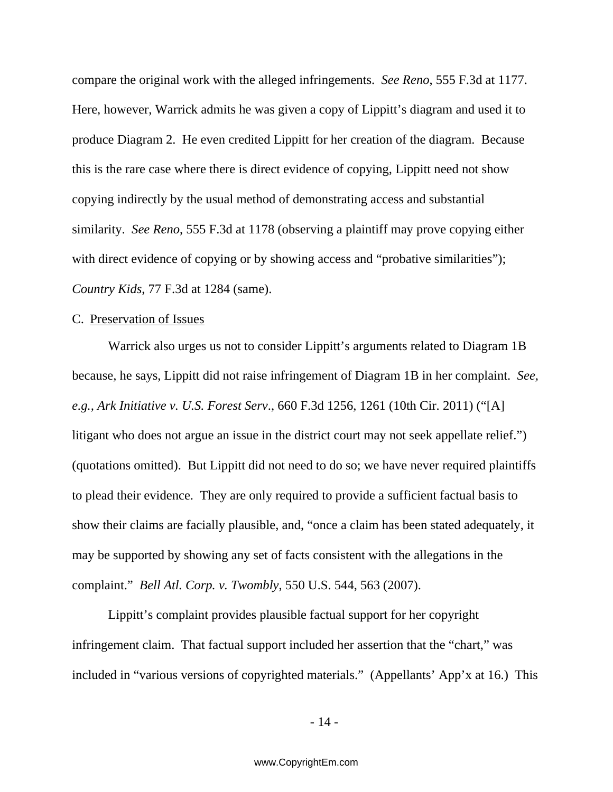compare the original work with the alleged infringements. *See Reno*, 555 F.3d at 1177. Here, however, Warrick admits he was given a copy of Lippitt's diagram and used it to produce Diagram 2. He even credited Lippitt for her creation of the diagram. Because this is the rare case where there is direct evidence of copying, Lippitt need not show copying indirectly by the usual method of demonstrating access and substantial similarity. *See Reno*, 555 F.3d at 1178 (observing a plaintiff may prove copying either with direct evidence of copying or by showing access and "probative similarities"); *Country Kids*, 77 F.3d at 1284 (same).

### C. Preservation of Issues

Warrick also urges us not to consider Lippitt's arguments related to Diagram 1B because, he says, Lippitt did not raise infringement of Diagram 1B in her complaint. *See, e.g., Ark Initiative v. U.S. Forest Serv*., 660 F.3d 1256, 1261 (10th Cir. 2011) ("[A] litigant who does not argue an issue in the district court may not seek appellate relief.") (quotations omitted). But Lippitt did not need to do so; we have never required plaintiffs to plead their evidence. They are only required to provide a sufficient factual basis to show their claims are facially plausible, and, "once a claim has been stated adequately, it may be supported by showing any set of facts consistent with the allegations in the complaint." *Bell Atl. Corp. v. Twombly*, 550 U.S. 544, 563 (2007).

Lippitt's complaint provides plausible factual support for her copyright infringement claim.That factual support included her assertion that the "chart," was included in "various versions of copyrighted materials." (Appellants' App'x at 16.)This